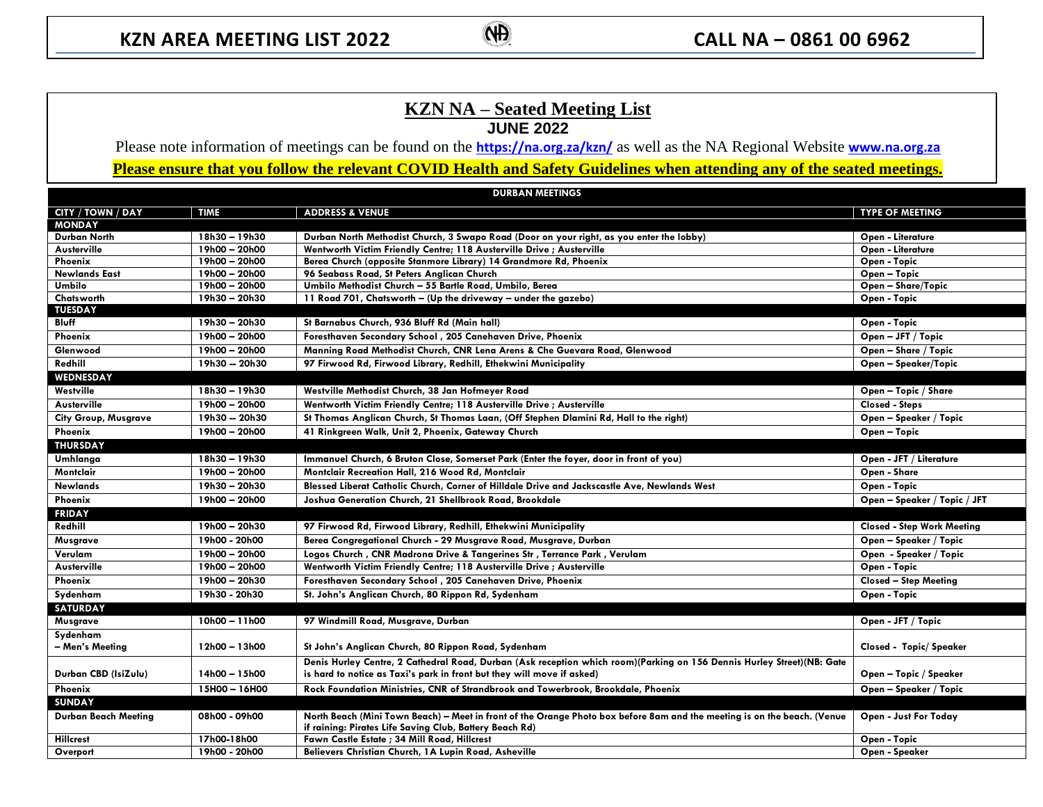## **KZN NA – Seated Meeting List JUNE 2022**

Please note information of meetings can be found on the **<https://na.org.za/kzn/>** as well as the NA Regional Website **[www.na.org.za](http://www.na.org.za/) Please ensure that you follow the relevant COVID Health and Safety Guidelines when attending any of the seated meetings.**

| <b>DURBAN MEETINGS</b>      |               |                                                                                                                                                                                     |                                   |  |  |  |  |
|-----------------------------|---------------|-------------------------------------------------------------------------------------------------------------------------------------------------------------------------------------|-----------------------------------|--|--|--|--|
| CITY / TOWN / DAY           | <b>TIME</b>   | <b>ADDRESS &amp; VENUE</b>                                                                                                                                                          | <b>TYPE OF MEETING</b>            |  |  |  |  |
| <b>MONDAY</b>               |               |                                                                                                                                                                                     |                                   |  |  |  |  |
| Durban North                | 18h30 - 19h30 | Durban North Methodist Church, 3 Swapo Road (Door on your right, as you enter the lobby)                                                                                            | Open - Literature                 |  |  |  |  |
| Austerville                 | 19h00 - 20h00 | Wentworth Victim Friendly Centre; 118 Austerville Drive ; Austerville                                                                                                               | Open - Literature                 |  |  |  |  |
| Phoenix                     | 19h00 - 20h00 | Berea Church (opposite Stanmore Library) 14 Grandmore Rd, Phoenix                                                                                                                   | Open - Topic                      |  |  |  |  |
| Newlands East               | 19h00 - 20h00 | 96 Seabass Road, St Peters Anglican Church                                                                                                                                          | Open - Topic                      |  |  |  |  |
| Umbilo                      | 19h00 - 20h00 | Umbilo Methodist Church - 55 Bartle Road, Umbilo, Berea                                                                                                                             | Open - Share/Topic                |  |  |  |  |
| Chatsworth                  | 19h30 - 20h30 | 11 Road 701, Chatsworth - (Up the driveway - under the gazebo)                                                                                                                      | Open - Topic                      |  |  |  |  |
| <b>TUESDAY</b>              |               |                                                                                                                                                                                     |                                   |  |  |  |  |
| Bluff                       | 19h30 - 20h30 | St Barnabus Church, 936 Bluff Rd (Main hall)                                                                                                                                        | Open - Topic                      |  |  |  |  |
| Phoenix                     | 19h00 - 20h00 | Foresthaven Secondary School, 205 Canehaven Drive, Phoenix                                                                                                                          | Open - JFT / Topic                |  |  |  |  |
| Glenwood                    | 19h00 - 20h00 | Manning Road Methodist Church, CNR Lena Arens & Che Guevara Road, Glenwood                                                                                                          | Open - Share / Topic              |  |  |  |  |
| Redhill                     | 19h30 - 20h30 | 97 Firwood Rd, Firwood Library, Redhill, Ethekwini Municipality                                                                                                                     | Open - Speaker/Topic              |  |  |  |  |
| <b>WEDNESDAY</b>            |               |                                                                                                                                                                                     |                                   |  |  |  |  |
| Westville                   | 18h30 - 19h30 | Westville Methodist Church, 38 Jan Hofmeyer Road                                                                                                                                    | Open - Topic / Share              |  |  |  |  |
| Austerville                 | 19h00 - 20h00 | Wentworth Victim Friendly Centre; 118 Austerville Drive ; Austerville                                                                                                               | <b>Closed - Steps</b>             |  |  |  |  |
| <b>City Group, Musgrave</b> | 19h30 - 20h30 | St Thomas Anglican Church, St Thomas Laan, (Off Stephen Dlamini Rd, Hall to the right)                                                                                              | Open – Speaker / Topic            |  |  |  |  |
| Phoenix                     | 19h00 - 20h00 | 41 Rinkgreen Walk, Unit 2, Phoenix, Gateway Church                                                                                                                                  | Open - Topic                      |  |  |  |  |
| <b>THURSDAY</b>             |               |                                                                                                                                                                                     |                                   |  |  |  |  |
| Umhlanga                    | 18h30 - 19h30 | Immanuel Church, 6 Bruton Close, Somerset Park (Enter the foyer, door in front of you)                                                                                              | Open - JFT / Literature           |  |  |  |  |
| Montclair                   | 19h00 - 20h00 | Montclair Recreation Hall, 216 Wood Rd, Montclair                                                                                                                                   | Open - Share                      |  |  |  |  |
| Newlands                    | 19h30 - 20h30 | Blessed Liberat Catholic Church, Corner of Hilldale Drive and Jackscastle Ave, Newlands West                                                                                        | Open - Topic                      |  |  |  |  |
| Phoenix                     | 19h00 - 20h00 | Joshua Generation Church, 21 Shellbrook Road, Brookdale                                                                                                                             | Open - Speaker / Topic / JFT      |  |  |  |  |
| <b>FRIDAY</b>               |               |                                                                                                                                                                                     |                                   |  |  |  |  |
| Redhill                     | 19h00 - 20h30 | 97 Firwood Rd, Firwood Library, Redhill, Ethekwini Municipality                                                                                                                     | <b>Closed - Step Work Meeting</b> |  |  |  |  |
| Musgrave                    | 19h00 - 20h00 | Berea Congregational Church - 29 Musgrave Road, Musgrave, Durban                                                                                                                    | Open – Speaker / Topic            |  |  |  |  |
| Verulam                     | 19h00 - 20h00 | Logos Church, CNR Madrona Drive & Tangerines Str, Terrance Park, Verulam                                                                                                            | Open - Speaker / Topic            |  |  |  |  |
| Austerville                 | 19h00 - 20h00 | Wentworth Victim Friendly Centre; 118 Austerville Drive; Austerville                                                                                                                | Open - Topic                      |  |  |  |  |
| Phoenix                     | 19h00 - 20h30 | Foresthaven Secondary School, 205 Canehaven Drive, Phoenix                                                                                                                          | <b>Closed - Step Meeting</b>      |  |  |  |  |
| Sydenham                    | 19h30 - 20h30 | St. John's Anglican Church, 80 Rippon Rd, Sydenham                                                                                                                                  | Open - Topic                      |  |  |  |  |
| <b>SATURDAY</b>             |               |                                                                                                                                                                                     |                                   |  |  |  |  |
| Musgrave                    | 10h00 - 11h00 | 97 Windmill Road, Musgrave, Durban                                                                                                                                                  | Open - JFT / Topic                |  |  |  |  |
| Sydenham                    |               |                                                                                                                                                                                     |                                   |  |  |  |  |
| - Men's Meeting             | 12h00 - 13h00 | St John's Anglican Church, 80 Rippon Road, Sydenham                                                                                                                                 | Closed - Topic/Speaker            |  |  |  |  |
|                             |               | Denis Hurley Centre, 2 Cathedral Road, Durban (Ask reception which room)(Parking on 156 Dennis Hurley Street)(NB: Gate                                                              |                                   |  |  |  |  |
| Durban CBD (IsiZulu)        | 14h00 - 15h00 | is hard to notice as Taxi's park in front but they will move if asked)                                                                                                              | Open – Topic / Speaker            |  |  |  |  |
| Phoenix                     | 15H00 - 16H00 | Rock Foundation Ministries, CNR of Strandbrook and Towerbrook, Brookdale, Phoenix                                                                                                   | Open – Speaker / Topic            |  |  |  |  |
| <b>SUNDAY</b>               |               |                                                                                                                                                                                     |                                   |  |  |  |  |
| Durban Beach Meeting        | 08h00 - 09h00 | North Beach (Mini Town Beach) – Meet in front of the Orange Photo box before 8am and the meeting is on the beach. (Venue<br>if raining: Pirates Life Saving Club, Battery Beach Rd) | Open - Just For Today             |  |  |  |  |
| <b>Hillcrest</b>            | 17h00-18h00   | Fawn Castle Estate ; 34 Mill Road, Hillcrest                                                                                                                                        | Open - Topic                      |  |  |  |  |
| Overport                    | 19h00 - 20h00 | Believers Christian Church, 1A Lupin Road, Asheville                                                                                                                                | Open - Speaker                    |  |  |  |  |